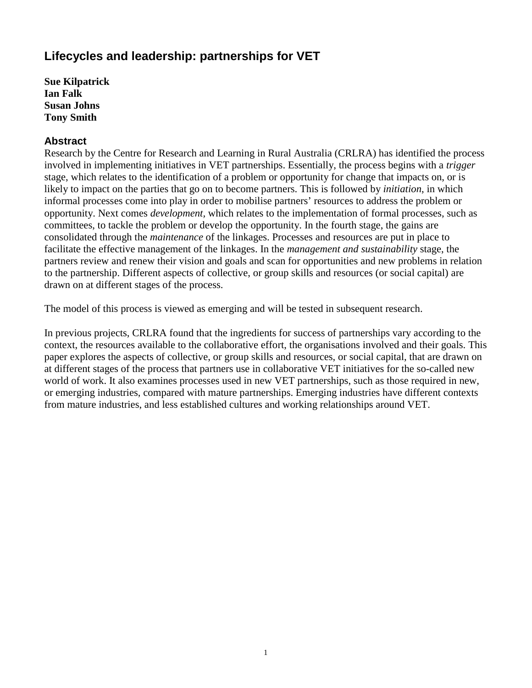## **Lifecycles and leadership: partnerships for VET**

**Sue Kilpatrick Ian Falk Susan Johns Tony Smith** 

## **Abstract**

Research by the Centre for Research and Learning in Rural Australia (CRLRA) has identified the process involved in implementing initiatives in VET partnerships. Essentially, the process begins with a *trigger*  stage, which relates to the identification of a problem or opportunity for change that impacts on, or is likely to impact on the parties that go on to become partners. This is followed by *initiation*, in which informal processes come into play in order to mobilise partners' resources to address the problem or opportunity. Next comes *development,* which relates to the implementation of formal processes, such as committees, to tackle the problem or develop the opportunity. In the fourth stage, the gains are consolidated through the *maintenance* of the linkages. Processes and resources are put in place to facilitate the effective management of the linkages. In the *management and sustainability* stage, the partners review and renew their vision and goals and scan for opportunities and new problems in relation to the partnership. Different aspects of collective, or group skills and resources (or social capital) are drawn on at different stages of the process.

The model of this process is viewed as emerging and will be tested in subsequent research.

In previous projects, CRLRA found that the ingredients for success of partnerships vary according to the context, the resources available to the collaborative effort, the organisations involved and their goals. This paper explores the aspects of collective, or group skills and resources, or social capital, that are drawn on at different stages of the process that partners use in collaborative VET initiatives for the so-called new world of work. It also examines processes used in new VET partnerships, such as those required in new, or emerging industries, compared with mature partnerships. Emerging industries have different contexts from mature industries, and less established cultures and working relationships around VET.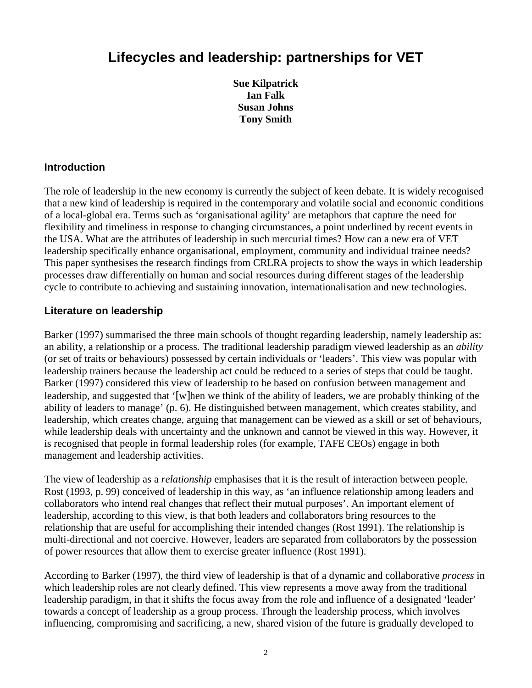# **Lifecycles and leadership: partnerships for VET**

**Sue Kilpatrick Ian Falk Susan Johns Tony Smith** 

## **Introduction**

The role of leadership in the new economy is currently the subject of keen debate. It is widely recognised that a new kind of leadership is required in the contemporary and volatile social and economic conditions of a local-global era. Terms such as 'organisational agility' are metaphors that capture the need for flexibility and timeliness in response to changing circumstances, a point underlined by recent events in the USA. What are the attributes of leadership in such mercurial times? How can a new era of VET leadership specifically enhance organisational, employment, community and individual trainee needs? This paper synthesises the research findings from CRLRA projects to show the ways in which leadership processes draw differentially on human and social resources during different stages of the leadership cycle to contribute to achieving and sustaining innovation, internationalisation and new technologies.

#### **Literature on leadership**

Barker (1997) summarised the three main schools of thought regarding leadership, namely leadership as: an ability, a relationship or a process. The traditional leadership paradigm viewed leadership as an *ability*  (or set of traits or behaviours) possessed by certain individuals or 'leaders'. This view was popular with leadership trainers because the leadership act could be reduced to a series of steps that could be taught. Barker (1997) considered this view of leadership to be based on confusion between management and leadership, and suggested that '[w]hen we think of the ability of leaders, we are probably thinking of the ability of leaders to manage' (p. 6). He distinguished between management, which creates stability, and leadership, which creates change, arguing that management can be viewed as a skill or set of behaviours, while leadership deals with uncertainty and the unknown and cannot be viewed in this way. However, it is recognised that people in formal leadership roles (for example, TAFE CEOs) engage in both management and leadership activities.

The view of leadership as a *relationship* emphasises that it is the result of interaction between people. Rost (1993, p. 99) conceived of leadership in this way, as 'an influence relationship among leaders and collaborators who intend real changes that reflect their mutual purposes'. An important element of leadership, according to this view, is that both leaders and collaborators bring resources to the relationship that are useful for accomplishing their intended changes (Rost 1991). The relationship is multi-directional and not coercive. However, leaders are separated from collaborators by the possession of power resources that allow them to exercise greater influence (Rost 1991).

According to Barker (1997), the third view of leadership is that of a dynamic and collaborative *process* in which leadership roles are not clearly defined. This view represents a move away from the traditional leadership paradigm, in that it shifts the focus away from the role and influence of a designated 'leader' towards a concept of leadership as a group process. Through the leadership process, which involves influencing, compromising and sacrificing, a new, shared vision of the future is gradually developed to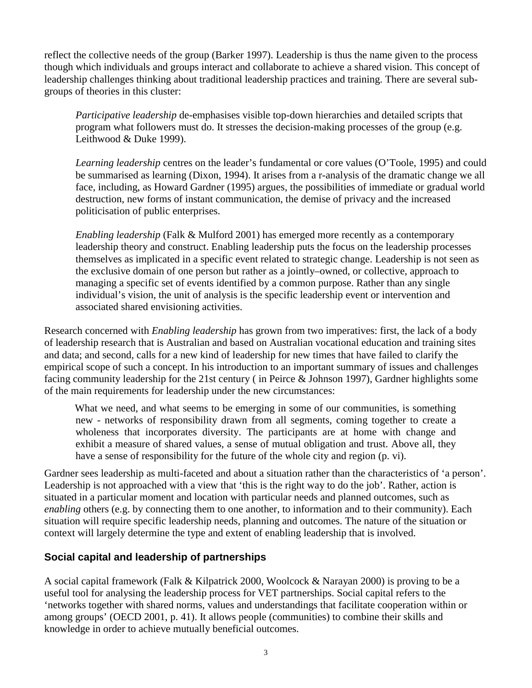reflect the collective needs of the group (Barker 1997). Leadership is thus the name given to the process though which individuals and groups interact and collaborate to achieve a shared vision. This concept of leadership challenges thinking about traditional leadership practices and training. There are several subgroups of theories in this cluster:

*Participative leadership* de-emphasises visible top-down hierarchies and detailed scripts that program what followers must do. It stresses the decision-making processes of the group (e.g. Leithwood & Duke 1999).

*Learning leadership* centres on the leader's fundamental or core values (O'Toole, 1995) and could be summarised as learning (Dixon, 1994). It arises from a r-analysis of the dramatic change we all face, including, as Howard Gardner (1995) argues, the possibilities of immediate or gradual world destruction, new forms of instant communication, the demise of privacy and the increased politicisation of public enterprises.

*Enabling leadership* (Falk & Mulford 2001) has emerged more recently as a contemporary leadership theory and construct. Enabling leadership puts the focus on the leadership processes themselves as implicated in a specific event related to strategic change. Leadership is not seen as the exclusive domain of one person but rather as a jointly–owned, or collective, approach to managing a specific set of events identified by a common purpose. Rather than any single individual's vision, the unit of analysis is the specific leadership event or intervention and associated shared envisioning activities.

Research concerned with *Enabling leadership* has grown from two imperatives: first, the lack of a body of leadership research that is Australian and based on Australian vocational education and training sites and data; and second, calls for a new kind of leadership for new times that have failed to clarify the empirical scope of such a concept. In his introduction to an important summary of issues and challenges facing community leadership for the 21st century ( in Peirce & Johnson 1997), Gardner highlights some of the main requirements for leadership under the new circumstances:

What we need, and what seems to be emerging in some of our communities, is something new - networks of responsibility drawn from all segments, coming together to create a wholeness that incorporates diversity. The participants are at home with change and exhibit a measure of shared values, a sense of mutual obligation and trust. Above all, they have a sense of responsibility for the future of the whole city and region (p. vi).

Gardner sees leadership as multi-faceted and about a situation rather than the characteristics of 'a person'. Leadership is not approached with a view that 'this is the right way to do the job'. Rather, action is situated in a particular moment and location with particular needs and planned outcomes, such as *enabling* others (e.g. by connecting them to one another, to information and to their community). Each situation will require specific leadership needs, planning and outcomes. The nature of the situation or context will largely determine the type and extent of enabling leadership that is involved.

## **Social capital and leadership of partnerships**

A social capital framework (Falk & Kilpatrick 2000, Woolcock & Narayan 2000) is proving to be a useful tool for analysing the leadership process for VET partnerships. Social capital refers to the 'networks together with shared norms, values and understandings that facilitate cooperation within or among groups' (OECD 2001, p. 41). It allows people (communities) to combine their skills and knowledge in order to achieve mutually beneficial outcomes.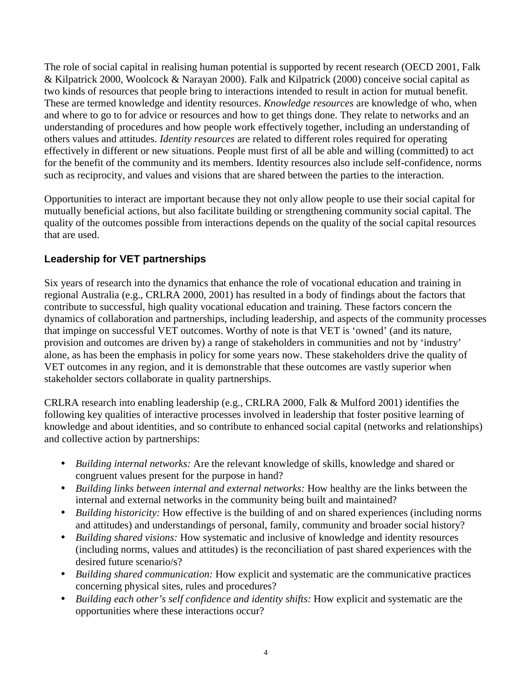The role of social capital in realising human potential is supported by recent research (OECD 2001, Falk & Kilpatrick 2000, Woolcock & Narayan 2000). Falk and Kilpatrick (2000) conceive social capital as two kinds of resources that people bring to interactions intended to result in action for mutual benefit. These are termed knowledge and identity resources. *Knowledge resources* are knowledge of who, when and where to go to for advice or resources and how to get things done. They relate to networks and an understanding of procedures and how people work effectively together, including an understanding of others values and attitudes. *Identity resources* are related to different roles required for operating effectively in different or new situations. People must first of all be able and willing (committed) to act for the benefit of the community and its members. Identity resources also include self-confidence, norms such as reciprocity, and values and visions that are shared between the parties to the interaction.

Opportunities to interact are important because they not only allow people to use their social capital for mutually beneficial actions, but also facilitate building or strengthening community social capital. The quality of the outcomes possible from interactions depends on the quality of the social capital resources that are used.

## **Leadership for VET partnerships**

Six years of research into the dynamics that enhance the role of vocational education and training in regional Australia (e.g., CRLRA 2000, 2001) has resulted in a body of findings about the factors that contribute to successful, high quality vocational education and training. These factors concern the dynamics of collaboration and partnerships, including leadership, and aspects of the community processes that impinge on successful VET outcomes. Worthy of note is that VET is 'owned' (and its nature, provision and outcomes are driven by) a range of stakeholders in communities and not by 'industry' alone, as has been the emphasis in policy for some years now. These stakeholders drive the quality of VET outcomes in any region, and it is demonstrable that these outcomes are vastly superior when stakeholder sectors collaborate in quality partnerships.

CRLRA research into enabling leadership (e.g., CRLRA 2000, Falk & Mulford 2001) identifies the following key qualities of interactive processes involved in leadership that foster positive learning of knowledge and about identities, and so contribute to enhanced social capital (networks and relationships) and collective action by partnerships:

- *Building internal networks:* Are the relevant knowledge of skills, knowledge and shared or congruent values present for the purpose in hand?
- *Building links between internal and external networks:* How healthy are the links between the internal and external networks in the community being built and maintained?
- *Building historicity:* How effective is the building of and on shared experiences (including norms and attitudes) and understandings of personal, family, community and broader social history?
- *Building shared visions:* How systematic and inclusive of knowledge and identity resources (including norms, values and attitudes) is the reconciliation of past shared experiences with the desired future scenario/s?
- *Building shared communication:* How explicit and systematic are the communicative practices concerning physical sites, rules and procedures?
- *Building each other's self confidence and identity shifts:* How explicit and systematic are the opportunities where these interactions occur?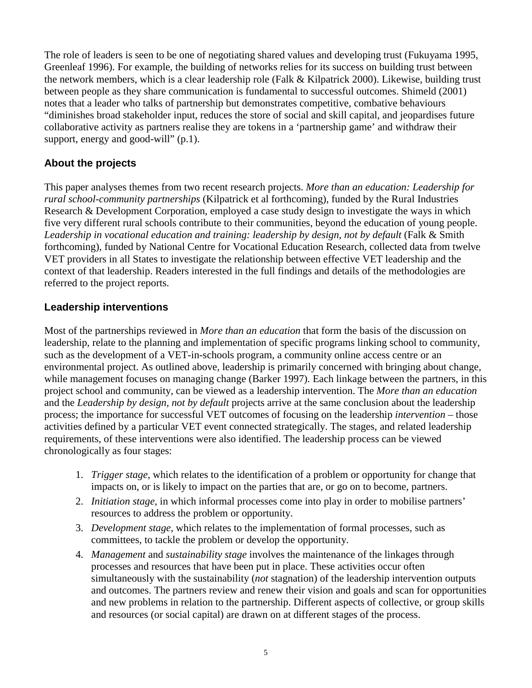The role of leaders is seen to be one of negotiating shared values and developing trust (Fukuyama 1995, Greenleaf 1996). For example, the building of networks relies for its success on building trust between the network members, which is a clear leadership role (Falk & Kilpatrick 2000). Likewise, building trust between people as they share communication is fundamental to successful outcomes. Shimeld (2001) notes that a leader who talks of partnership but demonstrates competitive, combative behaviours "diminishes broad stakeholder input, reduces the store of social and skill capital, and jeopardises future collaborative activity as partners realise they are tokens in a 'partnership game' and withdraw their support, energy and good-will" (p.1).

## **About the projects**

This paper analyses themes from two recent research projects. *More than an education: Leadership for rural school-community partnerships* (Kilpatrick et al forthcoming), funded by the Rural Industries Research & Development Corporation, employed a case study design to investigate the ways in which five very different rural schools contribute to their communities, beyond the education of young people. *Leadership in vocational education and training: leadership by design, not by default* (Falk & Smith forthcoming), funded by National Centre for Vocational Education Research, collected data from twelve VET providers in all States to investigate the relationship between effective VET leadership and the context of that leadership. Readers interested in the full findings and details of the methodologies are referred to the project reports.

#### **Leadership interventions**

Most of the partnerships reviewed in *More than an education* that form the basis of the discussion on leadership, relate to the planning and implementation of specific programs linking school to community, such as the development of a VET-in-schools program, a community online access centre or an environmental project. As outlined above, leadership is primarily concerned with bringing about change, while management focuses on managing change (Barker 1997). Each linkage between the partners, in this project school and community, can be viewed as a leadership intervention. The *More than an education* and the *Leadership by design, not by default* projects arrive at the same conclusion about the leadership process; the importance for successful VET outcomes of focusing on the leadership *intervention –* those activities defined by a particular VET event connected strategically. The stages, and related leadership requirements, of these interventions were also identified. The leadership process can be viewed chronologically as four stages:

- 1. *Trigger stage*, which relates to the identification of a problem or opportunity for change that impacts on, or is likely to impact on the parties that are, or go on to become, partners.
- 2. *Initiation stage*, in which informal processes come into play in order to mobilise partners' resources to address the problem or opportunity.
- 3. *Development stage,* which relates to the implementation of formal processes, such as committees, to tackle the problem or develop the opportunity.
- 4. *Management* and *sustainability stage* involves the maintenance of the linkages through processes and resources that have been put in place. These activities occur often simultaneously with the sustainability (*not* stagnation) of the leadership intervention outputs and outcomes. The partners review and renew their vision and goals and scan for opportunities and new problems in relation to the partnership. Different aspects of collective, or group skills and resources (or social capital) are drawn on at different stages of the process.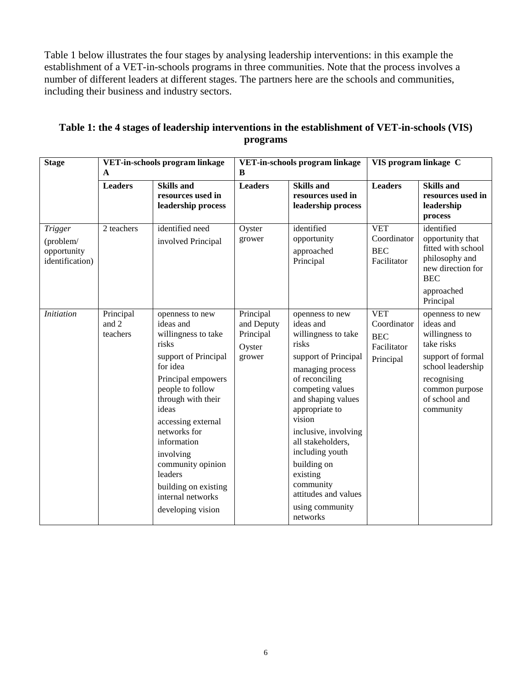Table 1 below illustrates the four stages by analysing leadership interventions: in this example the establishment of a VET-in-schools programs in three communities. Note that the process involves a number of different leaders at different stages. The partners here are the schools and communities, including their business and industry sectors.

| <b>Stage</b>                                                  | VET-in-schools program linkage<br>A |                                                                                                                                                                                                                                                                                                                                               | VET-in-schools program linkage<br>B                      |                                                                                                                                                                                                                                                                                                                                                                 | VIS program linkage C                                               |                                                                                                                                                                       |
|---------------------------------------------------------------|-------------------------------------|-----------------------------------------------------------------------------------------------------------------------------------------------------------------------------------------------------------------------------------------------------------------------------------------------------------------------------------------------|----------------------------------------------------------|-----------------------------------------------------------------------------------------------------------------------------------------------------------------------------------------------------------------------------------------------------------------------------------------------------------------------------------------------------------------|---------------------------------------------------------------------|-----------------------------------------------------------------------------------------------------------------------------------------------------------------------|
|                                                               |                                     |                                                                                                                                                                                                                                                                                                                                               |                                                          |                                                                                                                                                                                                                                                                                                                                                                 |                                                                     |                                                                                                                                                                       |
|                                                               | <b>Leaders</b>                      | <b>Skills and</b><br>resources used in<br>leadership process                                                                                                                                                                                                                                                                                  | <b>Leaders</b>                                           | <b>Skills and</b><br>resources used in<br>leadership process                                                                                                                                                                                                                                                                                                    | <b>Leaders</b>                                                      | <b>Skills and</b><br>resources used in<br>leadership<br>process                                                                                                       |
| <b>Trigger</b><br>(problem/<br>opportunity<br>identification) | 2 teachers                          | identified need<br>involved Principal                                                                                                                                                                                                                                                                                                         | Oyster<br>grower                                         | identified<br>opportunity<br>approached<br>Principal                                                                                                                                                                                                                                                                                                            | <b>VET</b><br>Coordinator<br><b>BEC</b><br>Facilitator              | identified<br>opportunity that<br>fitted with school<br>philosophy and<br>new direction for<br><b>BEC</b><br>approached<br>Principal                                  |
| <b>Initiation</b>                                             | Principal<br>and 2<br>teachers      | openness to new<br>ideas and<br>willingness to take<br>risks<br>support of Principal<br>for idea<br>Principal empowers<br>people to follow<br>through with their<br>ideas<br>accessing external<br>networks for<br>information<br>involving<br>community opinion<br>leaders<br>building on existing<br>internal networks<br>developing vision | Principal<br>and Deputy<br>Principal<br>Oyster<br>grower | openness to new<br>ideas and<br>willingness to take<br>risks<br>support of Principal<br>managing process<br>of reconciling<br>competing values<br>and shaping values<br>appropriate to<br>vision<br>inclusive, involving<br>all stakeholders,<br>including youth<br>building on<br>existing<br>community<br>attitudes and values<br>using community<br>networks | <b>VET</b><br>Coordinator<br><b>BEC</b><br>Facilitator<br>Principal | openness to new<br>ideas and<br>willingness to<br>take risks<br>support of formal<br>school leadership<br>recognising<br>common purpose<br>of school and<br>community |

#### **Table 1: the 4 stages of leadership interventions in the establishment of VET-in-schools (VIS) programs**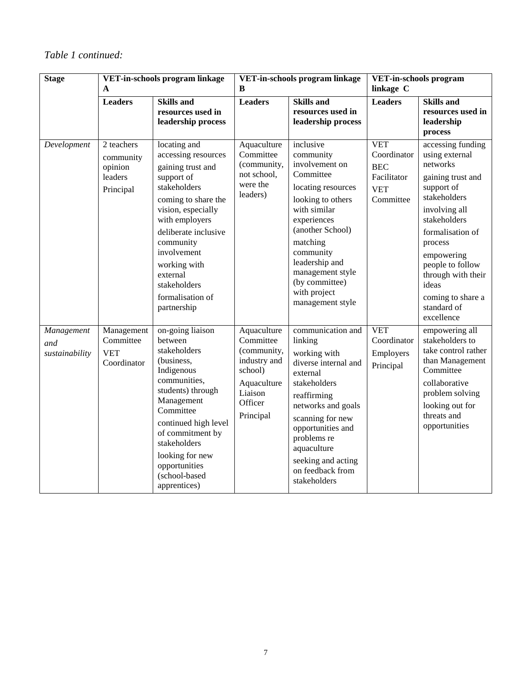## *Table 1 continued:*

| <b>Stage</b>                        | VET-in-schools program linkage<br>A                        |                                                                                                                                                                                                                                                                                          | VET-in-schools program linkage<br>B                                                                                  |                                                                                                                                                                                                                                                                          | VET-in-schools program<br>linkage C                                               |                                                                                                                                                                                                                                                                                       |
|-------------------------------------|------------------------------------------------------------|------------------------------------------------------------------------------------------------------------------------------------------------------------------------------------------------------------------------------------------------------------------------------------------|----------------------------------------------------------------------------------------------------------------------|--------------------------------------------------------------------------------------------------------------------------------------------------------------------------------------------------------------------------------------------------------------------------|-----------------------------------------------------------------------------------|---------------------------------------------------------------------------------------------------------------------------------------------------------------------------------------------------------------------------------------------------------------------------------------|
|                                     | <b>Leaders</b>                                             | <b>Skills and</b><br>resources used in<br>leadership process                                                                                                                                                                                                                             | <b>Leaders</b>                                                                                                       | <b>Skills and</b><br>resources used in<br>leadership process                                                                                                                                                                                                             | <b>Leaders</b>                                                                    | <b>Skills and</b><br>resources used in<br>leadership<br>process                                                                                                                                                                                                                       |
| Development                         | 2 teachers<br>community<br>opinion<br>leaders<br>Principal | locating and<br>accessing resources<br>gaining trust and<br>support of<br>stakeholders<br>coming to share the<br>vision, especially<br>with employers<br>deliberate inclusive<br>community<br>involvement<br>working with<br>external<br>stakeholders<br>formalisation of<br>partnership | Aquaculture<br>Committee<br>(community,<br>not school,<br>were the<br>leaders)                                       | inclusive<br>community<br>involvement on<br>Committee<br>locating resources<br>looking to others<br>with similar<br>experiences<br>(another School)<br>matching<br>community<br>leadership and<br>management style<br>(by committee)<br>with project<br>management style | <b>VET</b><br>Coordinator<br><b>BEC</b><br>Facilitator<br><b>VET</b><br>Committee | accessing funding<br>using external<br>networks<br>gaining trust and<br>support of<br>stakeholders<br>involving all<br>stakeholders<br>formalisation of<br>process<br>empowering<br>people to follow<br>through with their<br>ideas<br>coming to share a<br>standard of<br>excellence |
| Management<br>and<br>sustainability | Management<br>Committee<br><b>VET</b><br>Coordinator       | on-going liaison<br>between<br>stakeholders<br>(business,<br>Indigenous<br>communities,<br>students) through<br>Management<br>Committee<br>continued high level<br>of commitment by<br>stakeholders<br>looking for new<br>opportunities<br>(school-based<br>apprentices)                 | Aquaculture<br>Committee<br>(community,<br>industry and<br>school)<br>Aquaculture<br>Liaison<br>Officer<br>Principal | communication and<br>linking<br>working with<br>diverse internal and<br>external<br>stakeholders<br>reaffirming<br>networks and goals<br>scanning for new<br>opportunities and<br>problems re<br>aquaculture<br>seeking and acting<br>on feedback from<br>stakeholders   | <b>VET</b><br>Coordinator<br>Employers<br>Principal                               | empowering all<br>stakeholders to<br>take control rather<br>than Management<br>Committee<br>collaborative<br>problem solving<br>looking out for<br>threats and<br>opportunities                                                                                                       |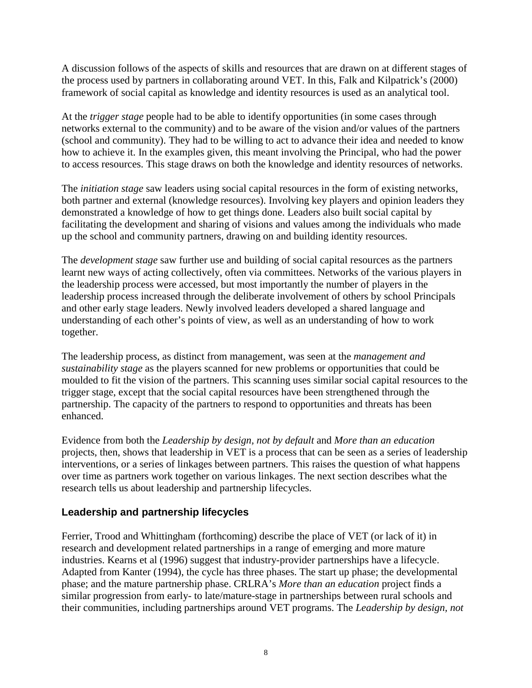A discussion follows of the aspects of skills and resources that are drawn on at different stages of the process used by partners in collaborating around VET. In this, Falk and Kilpatrick's (2000) framework of social capital as knowledge and identity resources is used as an analytical tool.

At the *trigger stage* people had to be able to identify opportunities (in some cases through networks external to the community) and to be aware of the vision and/or values of the partners (school and community). They had to be willing to act to advance their idea and needed to know how to achieve it. In the examples given, this meant involving the Principal, who had the power to access resources. This stage draws on both the knowledge and identity resources of networks.

The *initiation stage* saw leaders using social capital resources in the form of existing networks, both partner and external (knowledge resources). Involving key players and opinion leaders they demonstrated a knowledge of how to get things done. Leaders also built social capital by facilitating the development and sharing of visions and values among the individuals who made up the school and community partners, drawing on and building identity resources.

The *development stage* saw further use and building of social capital resources as the partners learnt new ways of acting collectively, often via committees. Networks of the various players in the leadership process were accessed, but most importantly the number of players in the leadership process increased through the deliberate involvement of others by school Principals and other early stage leaders. Newly involved leaders developed a shared language and understanding of each other's points of view, as well as an understanding of how to work together.

The leadership process, as distinct from management, was seen at the *management and sustainability stage* as the players scanned for new problems or opportunities that could be moulded to fit the vision of the partners. This scanning uses similar social capital resources to the trigger stage, except that the social capital resources have been strengthened through the partnership. The capacity of the partners to respond to opportunities and threats has been enhanced.

Evidence from both the *Leadership by design, not by default* and *More than an education* projects, then, shows that leadership in VET is a process that can be seen as a series of leadership interventions, or a series of linkages between partners. This raises the question of what happens over time as partners work together on various linkages. The next section describes what the research tells us about leadership and partnership lifecycles.

## **Leadership and partnership lifecycles**

Ferrier, Trood and Whittingham (forthcoming) describe the place of VET (or lack of it) in research and development related partnerships in a range of emerging and more mature industries. Kearns et al (1996) suggest that industry-provider partnerships have a lifecycle. Adapted from Kanter (1994), the cycle has three phases. The start up phase; the developmental phase; and the mature partnership phase. CRLRA's *More than an education* project finds a similar progression from early- to late/mature-stage in partnerships between rural schools and their communities, including partnerships around VET programs. The *Leadership by design, not*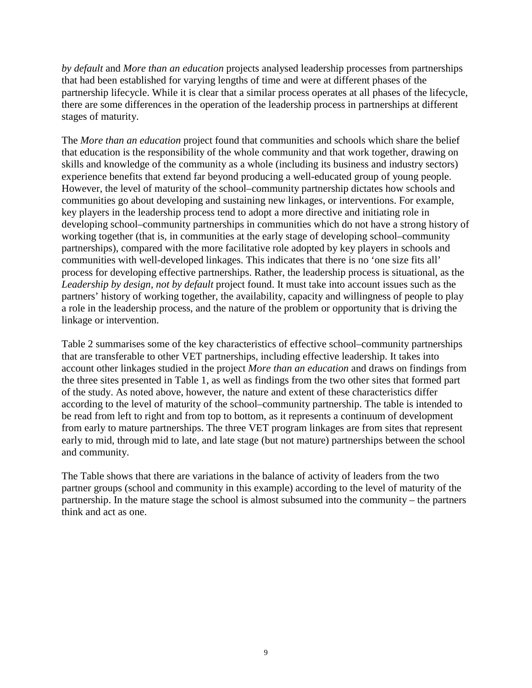*by default* and *More than an education* projects analysed leadership processes from partnerships that had been established for varying lengths of time and were at different phases of the partnership lifecycle. While it is clear that a similar process operates at all phases of the lifecycle, there are some differences in the operation of the leadership process in partnerships at different stages of maturity.

The *More than an education* project found that communities and schools which share the belief that education is the responsibility of the whole community and that work together, drawing on skills and knowledge of the community as a whole (including its business and industry sectors) experience benefits that extend far beyond producing a well-educated group of young people. However, the level of maturity of the school–community partnership dictates how schools and communities go about developing and sustaining new linkages, or interventions. For example, key players in the leadership process tend to adopt a more directive and initiating role in developing school–community partnerships in communities which do not have a strong history of working together (that is, in communities at the early stage of developing school–community partnerships), compared with the more facilitative role adopted by key players in schools and communities with well-developed linkages. This indicates that there is no 'one size fits all' process for developing effective partnerships. Rather, the leadership process is situational, as the *Leadership by design, not by default* project found. It must take into account issues such as the partners' history of working together, the availability, capacity and willingness of people to play a role in the leadership process, and the nature of the problem or opportunity that is driving the linkage or intervention.

Table 2 summarises some of the key characteristics of effective school–community partnerships that are transferable to other VET partnerships, including effective leadership. It takes into account other linkages studied in the project *More than an education* and draws on findings from the three sites presented in Table 1, as well as findings from the two other sites that formed part of the study. As noted above, however, the nature and extent of these characteristics differ according to the level of maturity of the school–community partnership. The table is intended to be read from left to right and from top to bottom, as it represents a continuum of development from early to mature partnerships. The three VET program linkages are from sites that represent early to mid, through mid to late, and late stage (but not mature) partnerships between the school and community.

The Table shows that there are variations in the balance of activity of leaders from the two partner groups (school and community in this example) according to the level of maturity of the partnership. In the mature stage the school is almost subsumed into the community – the partners think and act as one.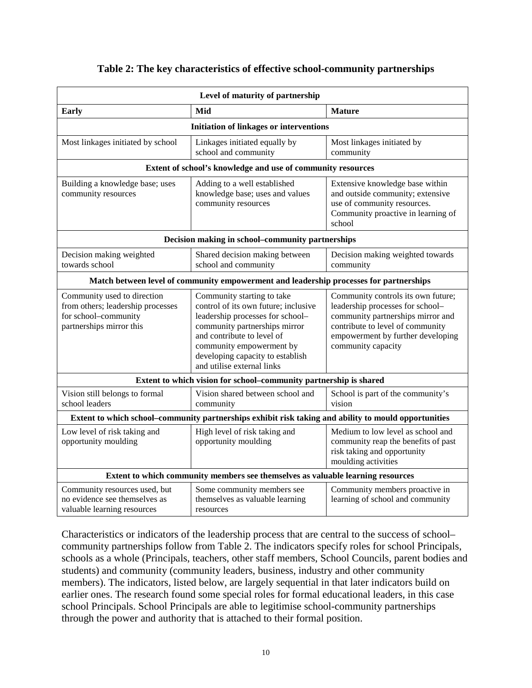| Level of maturity of partnership                                                                                     |                                                                                                                                                                                                                                                                     |                                                                                                                                                                                                            |  |  |  |  |  |
|----------------------------------------------------------------------------------------------------------------------|---------------------------------------------------------------------------------------------------------------------------------------------------------------------------------------------------------------------------------------------------------------------|------------------------------------------------------------------------------------------------------------------------------------------------------------------------------------------------------------|--|--|--|--|--|
| <b>Early</b>                                                                                                         | Mid                                                                                                                                                                                                                                                                 | <b>Mature</b>                                                                                                                                                                                              |  |  |  |  |  |
| <b>Initiation of linkages or interventions</b>                                                                       |                                                                                                                                                                                                                                                                     |                                                                                                                                                                                                            |  |  |  |  |  |
| Most linkages initiated by school                                                                                    | Linkages initiated equally by<br>school and community                                                                                                                                                                                                               | Most linkages initiated by<br>community                                                                                                                                                                    |  |  |  |  |  |
| Extent of school's knowledge and use of community resources                                                          |                                                                                                                                                                                                                                                                     |                                                                                                                                                                                                            |  |  |  |  |  |
| Building a knowledge base; uses<br>community resources                                                               | Adding to a well established<br>knowledge base; uses and values<br>community resources                                                                                                                                                                              | Extensive knowledge base within<br>and outside community; extensive<br>use of community resources.<br>Community proactive in learning of<br>school                                                         |  |  |  |  |  |
| Decision making in school-community partnerships                                                                     |                                                                                                                                                                                                                                                                     |                                                                                                                                                                                                            |  |  |  |  |  |
| Decision making weighted<br>towards school                                                                           | Shared decision making between<br>school and community                                                                                                                                                                                                              | Decision making weighted towards<br>community                                                                                                                                                              |  |  |  |  |  |
| Match between level of community empowerment and leadership processes for partnerships                               |                                                                                                                                                                                                                                                                     |                                                                                                                                                                                                            |  |  |  |  |  |
| Community used to direction<br>from others; leadership processes<br>for school-community<br>partnerships mirror this | Community starting to take<br>control of its own future; inclusive<br>leadership processes for school-<br>community partnerships mirror<br>and contribute to level of<br>community empowerment by<br>developing capacity to establish<br>and utilise external links | Community controls its own future;<br>leadership processes for school-<br>community partnerships mirror and<br>contribute to level of community<br>empowerment by further developing<br>community capacity |  |  |  |  |  |
| Extent to which vision for school-community partnership is shared                                                    |                                                                                                                                                                                                                                                                     |                                                                                                                                                                                                            |  |  |  |  |  |
| Vision still belongs to formal<br>school leaders                                                                     | Vision shared between school and<br>community                                                                                                                                                                                                                       | School is part of the community's<br>vision                                                                                                                                                                |  |  |  |  |  |
| Extent to which school-community partnerships exhibit risk taking and ability to mould opportunities                 |                                                                                                                                                                                                                                                                     |                                                                                                                                                                                                            |  |  |  |  |  |
| Low level of risk taking and<br>opportunity moulding                                                                 | High level of risk taking and<br>opportunity moulding                                                                                                                                                                                                               | Medium to low level as school and<br>community reap the benefits of past<br>risk taking and opportunity<br>moulding activities                                                                             |  |  |  |  |  |
| Extent to which community members see themselves as valuable learning resources                                      |                                                                                                                                                                                                                                                                     |                                                                                                                                                                                                            |  |  |  |  |  |
| Community resources used, but<br>no evidence see themselves as<br>valuable learning resources                        | Some community members see<br>themselves as valuable learning<br>resources                                                                                                                                                                                          | Community members proactive in<br>learning of school and community                                                                                                                                         |  |  |  |  |  |

#### **Table 2: The key characteristics of effective school-community partnerships**

Characteristics or indicators of the leadership process that are central to the success of school– community partnerships follow from Table 2. The indicators specify roles for school Principals, schools as a whole (Principals, teachers, other staff members, School Councils, parent bodies and students) and community (community leaders, business, industry and other community members). The indicators, listed below, are largely sequential in that later indicators build on earlier ones. The research found some special roles for formal educational leaders, in this case school Principals. School Principals are able to legitimise school-community partnerships through the power and authority that is attached to their formal position.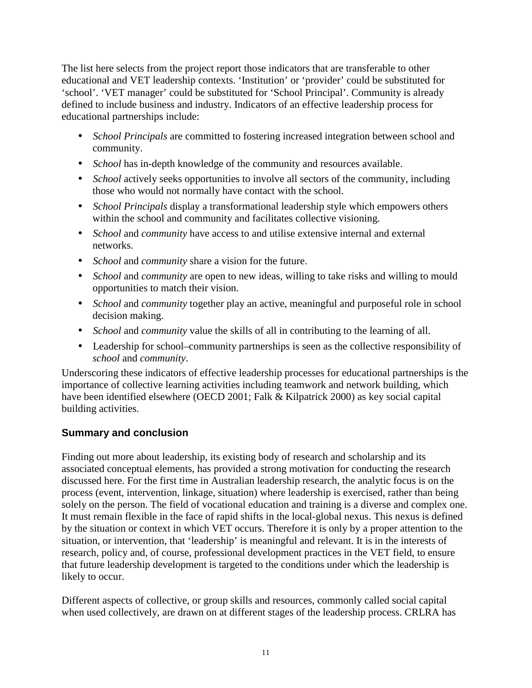The list here selects from the project report those indicators that are transferable to other educational and VET leadership contexts. 'Institution' or 'provider' could be substituted for 'school'. 'VET manager' could be substituted for 'School Principal'. Community is already defined to include business and industry. Indicators of an effective leadership process for educational partnerships include:

- *School Principals* are committed to fostering increased integration between school and community.
- *School* has in-depth knowledge of the community and resources available.
- *School* actively seeks opportunities to involve all sectors of the community, including those who would not normally have contact with the school.
- *School Principals* display a transformational leadership style which empowers others within the school and community and facilitates collective visioning.
- *School* and *community* have access to and utilise extensive internal and external networks.
- *School* and *community* share a vision for the future.
- *School* and *community* are open to new ideas, willing to take risks and willing to mould opportunities to match their vision.
- *School* and *community* together play an active, meaningful and purposeful role in school decision making.
- *School* and *community* value the skills of all in contributing to the learning of all.
- Leadership for school–community partnerships is seen as the collective responsibility of *school* and *community*.

Underscoring these indicators of effective leadership processes for educational partnerships is the importance of collective learning activities including teamwork and network building, which have been identified elsewhere (OECD 2001; Falk & Kilpatrick 2000) as key social capital building activities.

## **Summary and conclusion**

Finding out more about leadership, its existing body of research and scholarship and its associated conceptual elements, has provided a strong motivation for conducting the research discussed here. For the first time in Australian leadership research, the analytic focus is on the process (event, intervention, linkage, situation) where leadership is exercised, rather than being solely on the person. The field of vocational education and training is a diverse and complex one. It must remain flexible in the face of rapid shifts in the local-global nexus. This nexus is defined by the situation or context in which VET occurs. Therefore it is only by a proper attention to the situation, or intervention, that 'leadership' is meaningful and relevant. It is in the interests of research, policy and, of course, professional development practices in the VET field, to ensure that future leadership development is targeted to the conditions under which the leadership is likely to occur.

Different aspects of collective, or group skills and resources, commonly called social capital when used collectively, are drawn on at different stages of the leadership process. CRLRA has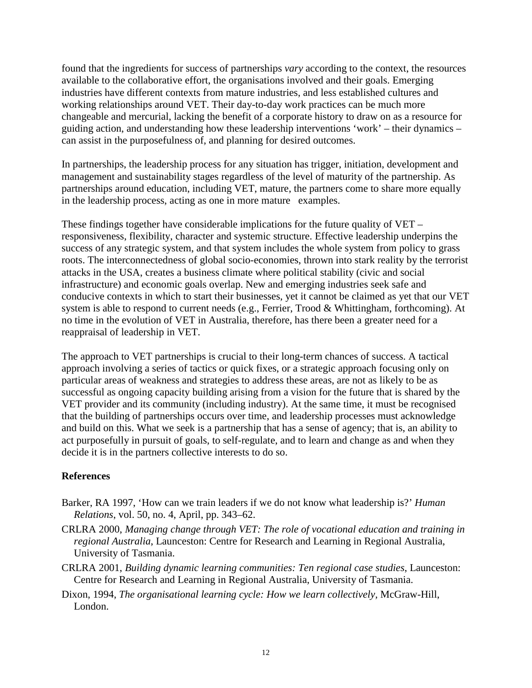found that the ingredients for success of partnerships *vary* according to the context, the resources available to the collaborative effort, the organisations involved and their goals. Emerging industries have different contexts from mature industries, and less established cultures and working relationships around VET. Their day-to-day work practices can be much more changeable and mercurial, lacking the benefit of a corporate history to draw on as a resource for guiding action, and understanding how these leadership interventions 'work' – their dynamics – can assist in the purposefulness of, and planning for desired outcomes.

In partnerships, the leadership process for any situation has trigger, initiation, development and management and sustainability stages regardless of the level of maturity of the partnership. As partnerships around education, including VET, mature, the partners come to share more equally in the leadership process, acting as one in more mature examples.

These findings together have considerable implications for the future quality of VET – responsiveness, flexibility, character and systemic structure. Effective leadership underpins the success of any strategic system, and that system includes the whole system from policy to grass roots. The interconnectedness of global socio-economies, thrown into stark reality by the terrorist attacks in the USA, creates a business climate where political stability (civic and social infrastructure) and economic goals overlap. New and emerging industries seek safe and conducive contexts in which to start their businesses, yet it cannot be claimed as yet that our VET system is able to respond to current needs (e.g., Ferrier, Trood & Whittingham, forthcoming). At no time in the evolution of VET in Australia, therefore, has there been a greater need for a reappraisal of leadership in VET.

The approach to VET partnerships is crucial to their long-term chances of success. A tactical approach involving a series of tactics or quick fixes, or a strategic approach focusing only on particular areas of weakness and strategies to address these areas, are not as likely to be as successful as ongoing capacity building arising from a vision for the future that is shared by the VET provider and its community (including industry). At the same time, it must be recognised that the building of partnerships occurs over time, and leadership processes must acknowledge and build on this. What we seek is a partnership that has a sense of agency; that is, an ability to act purposefully in pursuit of goals, to self-regulate, and to learn and change as and when they decide it is in the partners collective interests to do so.

#### **References**

- Barker, RA 1997, 'How can we train leaders if we do not know what leadership is?' *Human Relations*, vol. 50, no. 4, April, pp. 343–62.
- CRLRA 2000, *Managing change through VET: The role of vocational education and training in regional Australia*, Launceston: Centre for Research and Learning in Regional Australia, University of Tasmania.
- CRLRA 2001, *Building dynamic learning communities: Ten regional case studies*, Launceston: Centre for Research and Learning in Regional Australia, University of Tasmania.
- Dixon, 1994, *The organisational learning cycle: How we learn collectively,* McGraw-Hill, London.